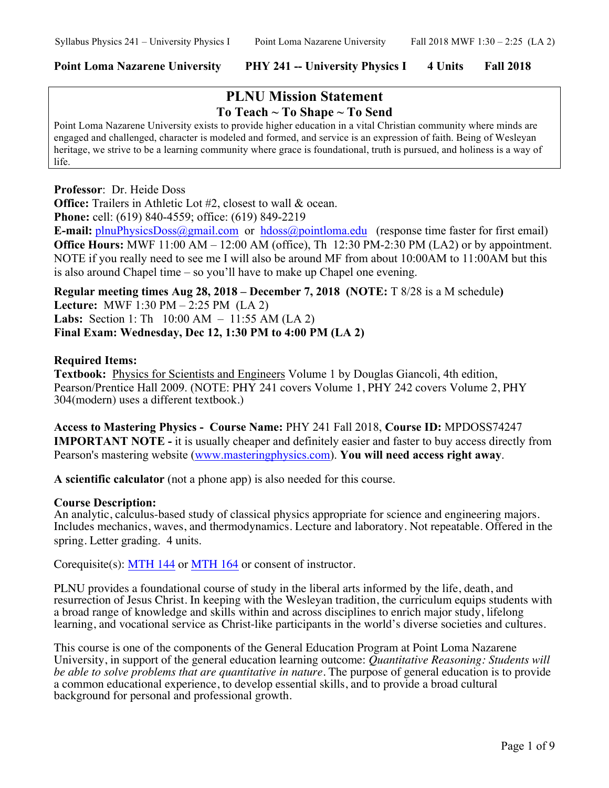# **PLNU Mission Statement To Teach ~ To Shape ~ To Send**

Point Loma Nazarene University exists to provide higher education in a vital Christian community where minds are engaged and challenged, character is modeled and formed, and service is an expression of faith. Being of Wesleyan heritage, we strive to be a learning community where grace is foundational, truth is pursued, and holiness is a way of life.

#### **Professor**: Dr. Heide Doss

**Office:** Trailers in Athletic Lot #2, closest to wall & ocean. **Phone:** cell: (619) 840-4559; office: (619) 849-2219

**E-mail:** plnuPhysicsDoss@gmail.com or hdoss@pointloma.edu (response time faster for first email) **Office Hours:** MWF 11:00 AM – 12:00 AM (office), Th 12:30 PM-2:30 PM (LA2) or by appointment. NOTE if you really need to see me I will also be around MF from about 10:00AM to 11:00AM but this is also around Chapel time – so you'll have to make up Chapel one evening.

**Regular meeting times Aug 28, 2018 – December 7, 2018 (NOTE:** T 8/28 is a M schedule**) Lecture:** MWF 1:30 PM – 2:25 PM (LA 2) **Labs:** Section 1: Th 10:00 AM – 11:55 AM (LA 2) **Final Exam: Wednesday, Dec 12, 1:30 PM to 4:00 PM (LA 2)**

#### **Required Items:**

**Textbook:** Physics for Scientists and Engineers Volume 1 by Douglas Giancoli, 4th edition, Pearson/Prentice Hall 2009. (NOTE: PHY 241 covers Volume 1, PHY 242 covers Volume 2, PHY 304(modern) uses a different textbook.)

**Access to Mastering Physics - Course Name:** PHY 241 Fall 2018, **Course ID:** MPDOSS74247 **IMPORTANT NOTE -** it is usually cheaper and definitely easier and faster to buy access directly from Pearson's mastering website (www.masteringphysics.com). **You will need access right away**.

**A scientific calculator** (not a phone app) is also needed for this course.

#### **Course Description:**

An analytic, calculus-based study of classical physics appropriate for science and engineering majors. Includes mechanics, waves, and thermodynamics. Lecture and laboratory. Not repeatable. Offered in the spring. Letter grading. 4 units.

Corequisite(s): MTH 144 or MTH 164 or consent of instructor.

PLNU provides a foundational course of study in the liberal arts informed by the life, death, and resurrection of Jesus Christ. In keeping with the Wesleyan tradition, the curriculum equips students with a broad range of knowledge and skills within and across disciplines to enrich major study, lifelong learning, and vocational service as Christ-like participants in the world's diverse societies and cultures.

This course is one of the components of the General Education Program at Point Loma Nazarene University, in support of the general education learning outcome: *Quantitative Reasoning: Students will be able to solve problems that are quantitative in nature*. The purpose of general education is to provide a common educational experience, to develop essential skills, and to provide a broad cultural background for personal and professional growth.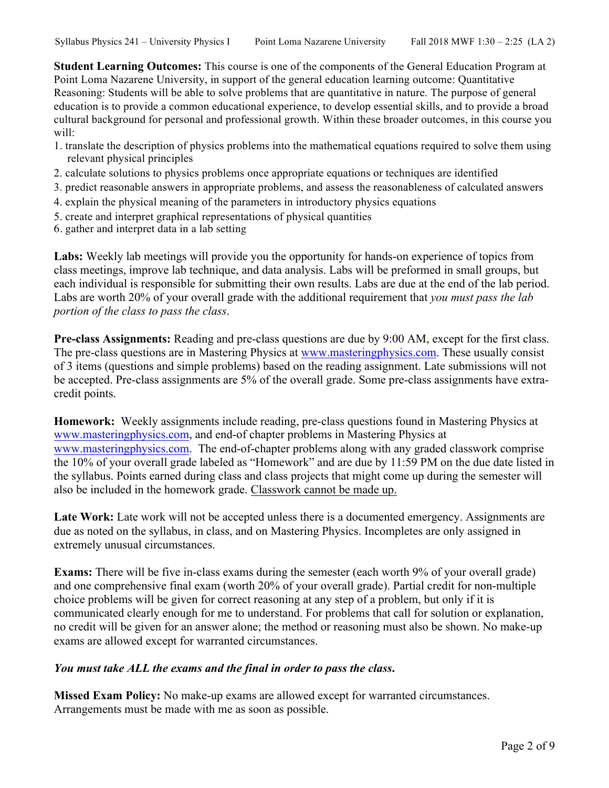**Student Learning Outcomes:** This course is one of the components of the General Education Program at Point Loma Nazarene University, in support of the general education learning outcome: Quantitative Reasoning: Students will be able to solve problems that are quantitative in nature. The purpose of general education is to provide a common educational experience, to develop essential skills, and to provide a broad cultural background for personal and professional growth. Within these broader outcomes, in this course you will:

- 1. translate the description of physics problems into the mathematical equations required to solve them using relevant physical principles
- 2. calculate solutions to physics problems once appropriate equations or techniques are identified
- 3. predict reasonable answers in appropriate problems, and assess the reasonableness of calculated answers
- 4. explain the physical meaning of the parameters in introductory physics equations
- 5. create and interpret graphical representations of physical quantities
- 6. gather and interpret data in a lab setting

**Labs:** Weekly lab meetings will provide you the opportunity for hands-on experience of topics from class meetings, improve lab technique, and data analysis. Labs will be preformed in small groups, but each individual is responsible for submitting their own results. Labs are due at the end of the lab period. Labs are worth 20% of your overall grade with the additional requirement that *you must pass the lab portion of the class to pass the class*.

**Pre-class Assignments:** Reading and pre-class questions are due by 9:00 AM, except for the first class. The pre-class questions are in Mastering Physics at www.masteringphysics.com. These usually consist of 3 items (questions and simple problems) based on the reading assignment. Late submissions will not be accepted. Pre-class assignments are 5% of the overall grade. Some pre-class assignments have extracredit points.

**Homework:** Weekly assignments include reading, pre-class questions found in Mastering Physics at www.masteringphysics.com, and end-of chapter problems in Mastering Physics at www.masteringphysics.com. The end-of-chapter problems along with any graded classwork comprise the 10% of your overall grade labeled as "Homework" and are due by 11:59 PM on the due date listed in the syllabus. Points earned during class and class projects that might come up during the semester will also be included in the homework grade. Classwork cannot be made up.

Late Work: Late work will not be accepted unless there is a documented emergency. Assignments are due as noted on the syllabus, in class, and on Mastering Physics. Incompletes are only assigned in extremely unusual circumstances.

**Exams:** There will be five in-class exams during the semester (each worth 9% of your overall grade) and one comprehensive final exam (worth 20% of your overall grade). Partial credit for non-multiple choice problems will be given for correct reasoning at any step of a problem, but only if it is communicated clearly enough for me to understand. For problems that call for solution or explanation, no credit will be given for an answer alone; the method or reasoning must also be shown. No make-up exams are allowed except for warranted circumstances.

## *You must take ALL the exams and the final in order to pass the class***.**

**Missed Exam Policy:** No make-up exams are allowed except for warranted circumstances. Arrangements must be made with me as soon as possible.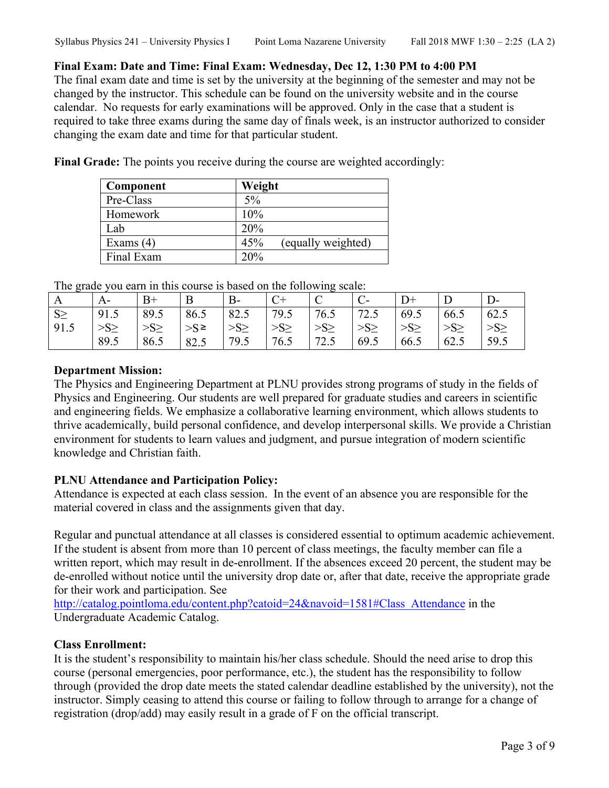# **Final Exam: Date and Time: Final Exam: Wednesday, Dec 12, 1:30 PM to 4:00 PM**

The final exam date and time is set by the university at the beginning of the semester and may not be changed by the instructor. This schedule can be found on the university website and in the course calendar. No requests for early examinations will be approved. Only in the case that a student is required to take three exams during the same day of finals week, is an instructor authorized to consider changing the exam date and time for that particular student.

**Final Grade:** The points you receive during the course are weighted accordingly:

| Component   | Weight                    |
|-------------|---------------------------|
| Pre-Class   | 5%                        |
| Homework    | 10%                       |
| Lab         | 20%                       |
| Exams $(4)$ | 45%<br>(equally weighted) |
| Final Exam  | 20%                       |

The grade you earn in this course is based on the following scale:

| A        | А-        | B+        | B      | $B-$     |           | ັ<br>◡   |           |           |           | D-   |
|----------|-----------|-----------|--------|----------|-----------|----------|-----------|-----------|-----------|------|
| $S \geq$ | 91.5      | 89.5      | 86.5   | 82.5     | 79.5      | 76.5     | 72.5      | 69.5      | 66.5      | 62.5 |
| 91.5     | $>S \geq$ | $>S \geq$ | $>$ S≥ | $>S\geq$ | $>S \geq$ | $>S\geq$ | $>S \geq$ | $>S \geq$ | $>S \geq$ | >S   |
|          | 89.5      | 86.5      | 82.5   | 79.5     | 76.5      | 72.5     | 69.5      | 66.5      | 62.5      | 59.5 |

# **Department Mission:**

The Physics and Engineering Department at PLNU provides strong programs of study in the fields of Physics and Engineering. Our students are well prepared for graduate studies and careers in scientific and engineering fields. We emphasize a collaborative learning environment, which allows students to thrive academically, build personal confidence, and develop interpersonal skills. We provide a Christian environment for students to learn values and judgment, and pursue integration of modern scientific knowledge and Christian faith.

## **PLNU Attendance and Participation Policy:**

Attendance is expected at each class session. In the event of an absence you are responsible for the material covered in class and the assignments given that day.

Regular and punctual attendance at all classes is considered essential to optimum academic achievement. If the student is absent from more than 10 percent of class meetings, the faculty member can file a written report, which may result in de-enrollment. If the absences exceed 20 percent, the student may be de-enrolled without notice until the university drop date or, after that date, receive the appropriate grade for their work and participation. See

http://catalog.pointloma.edu/content.php?catoid=24&navoid=1581#Class\_Attendance in the Undergraduate Academic Catalog.

# **Class Enrollment:**

It is the student's responsibility to maintain his/her class schedule. Should the need arise to drop this course (personal emergencies, poor performance, etc.), the student has the responsibility to follow through (provided the drop date meets the stated calendar deadline established by the university), not the instructor. Simply ceasing to attend this course or failing to follow through to arrange for a change of registration (drop/add) may easily result in a grade of F on the official transcript.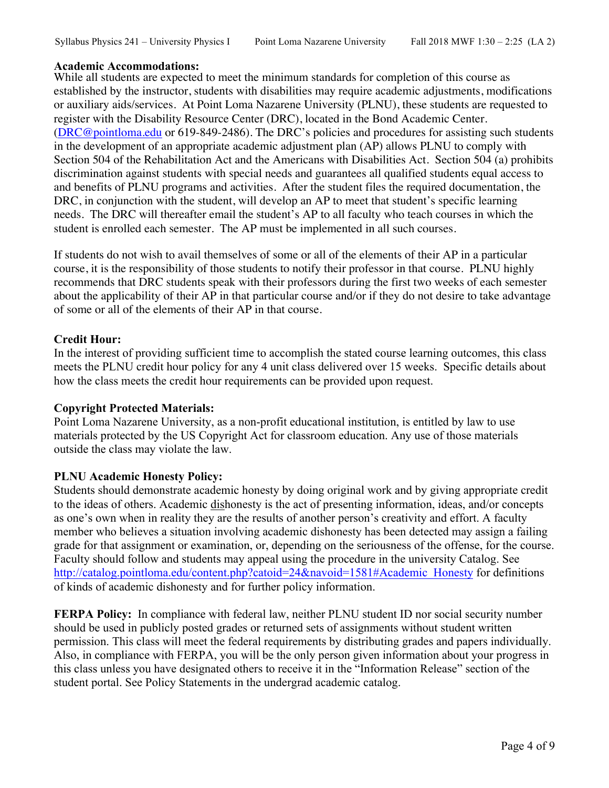## **Academic Accommodations:**

While all students are expected to meet the minimum standards for completion of this course as established by the instructor, students with disabilities may require academic adjustments, modifications or auxiliary aids/services. At Point Loma Nazarene University (PLNU), these students are requested to register with the Disability Resource Center (DRC), located in the Bond Academic Center. (DRC@pointloma.edu or 619-849-2486). The DRC's policies and procedures for assisting such students in the development of an appropriate academic adjustment plan (AP) allows PLNU to comply with Section 504 of the Rehabilitation Act and the Americans with Disabilities Act. Section 504 (a) prohibits discrimination against students with special needs and guarantees all qualified students equal access to and benefits of PLNU programs and activities. After the student files the required documentation, the DRC, in conjunction with the student, will develop an AP to meet that student's specific learning needs. The DRC will thereafter email the student's AP to all faculty who teach courses in which the student is enrolled each semester. The AP must be implemented in all such courses.

If students do not wish to avail themselves of some or all of the elements of their AP in a particular course, it is the responsibility of those students to notify their professor in that course. PLNU highly recommends that DRC students speak with their professors during the first two weeks of each semester about the applicability of their AP in that particular course and/or if they do not desire to take advantage of some or all of the elements of their AP in that course.

## **Credit Hour:**

In the interest of providing sufficient time to accomplish the stated course learning outcomes, this class meets the PLNU credit hour policy for any 4 unit class delivered over 15 weeks. Specific details about how the class meets the credit hour requirements can be provided upon request.

#### **Copyright Protected Materials:**

Point Loma Nazarene University, as a non-profit educational institution, is entitled by law to use materials protected by the US Copyright Act for classroom education. Any use of those materials outside the class may violate the law.

## **PLNU Academic Honesty Policy:**

Students should demonstrate academic honesty by doing original work and by giving appropriate credit to the ideas of others. Academic dishonesty is the act of presenting information, ideas, and/or concepts as one's own when in reality they are the results of another person's creativity and effort. A faculty member who believes a situation involving academic dishonesty has been detected may assign a failing grade for that assignment or examination, or, depending on the seriousness of the offense, for the course. Faculty should follow and students may appeal using the procedure in the university Catalog. See http://catalog.pointloma.edu/content.php?catoid=24&navoid=1581#Academic\_Honesty for definitions of kinds of academic dishonesty and for further policy information.

**FERPA Policy:** In compliance with federal law, neither PLNU student ID nor social security number should be used in publicly posted grades or returned sets of assignments without student written permission. This class will meet the federal requirements by distributing grades and papers individually. Also, in compliance with FERPA, you will be the only person given information about your progress in this class unless you have designated others to receive it in the "Information Release" section of the student portal. See Policy Statements in the undergrad academic catalog.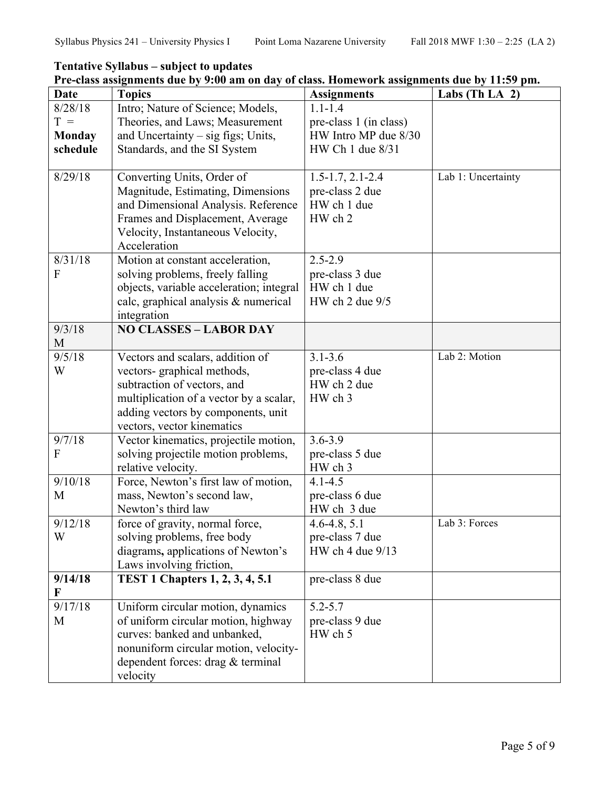**Tentative Syllabus – subject to updates** 

| <b>Date</b>   | <b>Topics</b>                                                                | <b>Assignments</b>             | Labs (Th LA $2$ )  |
|---------------|------------------------------------------------------------------------------|--------------------------------|--------------------|
| 8/28/18       | Intro; Nature of Science; Models,                                            | $1.1 - 1.4$                    |                    |
| $T =$         | Theories, and Laws; Measurement                                              | pre-class 1 (in class)         |                    |
| <b>Monday</b> | and Uncertainty $-$ sig figs; Units,                                         | HW Intro MP due 8/30           |                    |
| schedule      | Standards, and the SI System                                                 | HW Ch 1 due 8/31               |                    |
| 8/29/18       | Converting Units, Order of                                                   | $1.5 - 1.7, 2.1 - 2.4$         | Lab 1: Uncertainty |
|               | Magnitude, Estimating, Dimensions                                            | pre-class 2 due                |                    |
|               | and Dimensional Analysis. Reference                                          | HW ch 1 due                    |                    |
|               | Frames and Displacement, Average                                             | HW ch 2                        |                    |
|               | Velocity, Instantaneous Velocity,                                            |                                |                    |
|               | Acceleration                                                                 |                                |                    |
| 8/31/18<br>F  | Motion at constant acceleration,                                             | $2.5 - 2.9$                    |                    |
|               | solving problems, freely falling<br>objects, variable acceleration; integral | pre-class 3 due<br>HW ch 1 due |                    |
|               | calc, graphical analysis & numerical                                         | HW ch 2 due 9/5                |                    |
|               | integration                                                                  |                                |                    |
| 9/3/18        | <b>NO CLASSES - LABOR DAY</b>                                                |                                |                    |
| M             |                                                                              |                                |                    |
| 9/5/18        | Vectors and scalars, addition of                                             | $3.1 - 3.6$                    | Lab 2: Motion      |
| W             | vectors- graphical methods,                                                  | pre-class 4 due                |                    |
|               | subtraction of vectors, and                                                  | HW ch 2 due                    |                    |
|               | multiplication of a vector by a scalar,                                      | HW ch 3                        |                    |
|               | adding vectors by components, unit                                           |                                |                    |
|               | vectors, vector kinematics                                                   |                                |                    |
| 9/7/18        | Vector kinematics, projectile motion,                                        | $3.6 - 3.9$                    |                    |
| F             | solving projectile motion problems,                                          | pre-class 5 due                |                    |
| 9/10/18       | relative velocity.                                                           | HW ch 3<br>$4.1 - 4.5$         |                    |
| M             | Force, Newton's first law of motion,<br>mass, Newton's second law,           | pre-class 6 due                |                    |
|               | Newton's third law                                                           | HW ch 3 due                    |                    |
| 9/12/18       | force of gravity, normal force,                                              | $4.6 - 4.8, 5.1$               | Lab 3: Forces      |
| W             | solving problems, free body                                                  | pre-class 7 due                |                    |
|               | diagrams, applications of Newton's                                           | HW ch 4 due 9/13               |                    |
|               | Laws involving friction,                                                     |                                |                    |
| 9/14/18       | <b>TEST 1 Chapters 1, 2, 3, 4, 5.1</b>                                       | pre-class 8 due                |                    |
| F             |                                                                              |                                |                    |
| 9/17/18       | Uniform circular motion, dynamics                                            | $5.2 - 5.7$                    |                    |
| M             | of uniform circular motion, highway                                          | pre-class 9 due                |                    |
|               | curves: banked and unbanked,<br>nonuniform circular motion, velocity-        | HW ch 5                        |                    |
|               | dependent forces: drag & terminal                                            |                                |                    |
|               | velocity                                                                     |                                |                    |

# **Pre-class assignments due by 9:00 am on day of class. Homework assignments due by 11:59 pm.**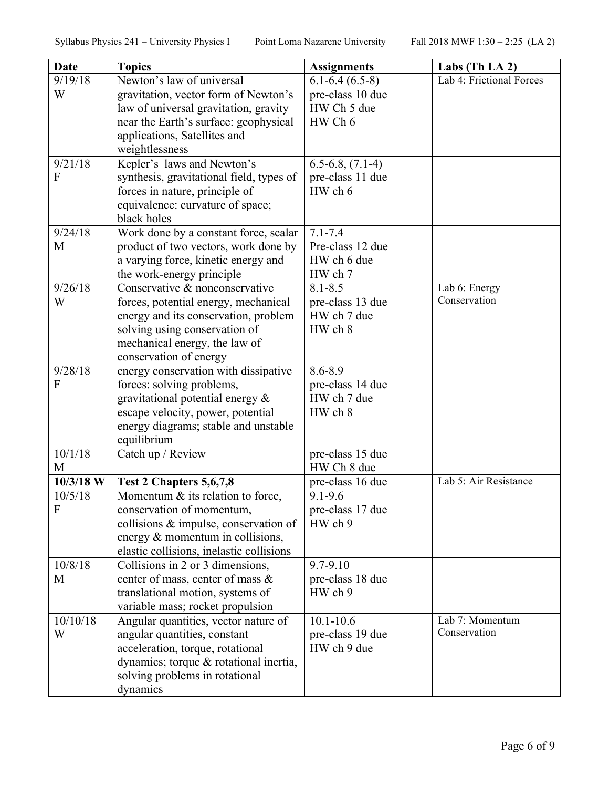| Date                    | <b>Topics</b>                                                                                                          | <b>Assignments</b>                         | Labs (Th LA 2)                  |
|-------------------------|------------------------------------------------------------------------------------------------------------------------|--------------------------------------------|---------------------------------|
| 9/19/18                 | Newton's law of universal                                                                                              | $6.1 - 6.4(6.5 - 8)$                       | Lab 4: Frictional Forces        |
| W                       | gravitation, vector form of Newton's<br>law of universal gravitation, gravity<br>near the Earth's surface: geophysical | pre-class 10 due<br>HW Ch 5 due<br>HW Ch 6 |                                 |
|                         | applications, Satellites and<br>weightlessness                                                                         |                                            |                                 |
| 9/21/18                 | Kepler's laws and Newton's                                                                                             | $6.5 - 6.8$ , $(7.1 - 4)$                  |                                 |
| F                       | synthesis, gravitational field, types of<br>forces in nature, principle of                                             | pre-class 11 due<br>HW ch 6                |                                 |
|                         | equivalence: curvature of space;<br>black holes                                                                        |                                            |                                 |
| 9/24/18                 | Work done by a constant force, scalar                                                                                  | $7.1 - 7.4$                                |                                 |
| M                       | product of two vectors, work done by                                                                                   | Pre-class 12 due                           |                                 |
|                         | a varying force, kinetic energy and                                                                                    | HW ch 6 due                                |                                 |
| 9/26/18                 | the work-energy principle<br>Conservative & nonconservative                                                            | HW ch 7<br>$8.1 - 8.5$                     | Lab 6: Energy                   |
| W                       | forces, potential energy, mechanical                                                                                   | pre-class 13 due                           | Conservation                    |
|                         | energy and its conservation, problem                                                                                   | HW ch 7 due                                |                                 |
|                         | solving using conservation of                                                                                          | HW ch 8                                    |                                 |
|                         | mechanical energy, the law of                                                                                          |                                            |                                 |
|                         | conservation of energy                                                                                                 |                                            |                                 |
| 9/28/18                 | energy conservation with dissipative                                                                                   | 8.6-8.9                                    |                                 |
| F                       | forces: solving problems,<br>gravitational potential energy &                                                          | pre-class 14 due<br>HW ch 7 due            |                                 |
|                         | escape velocity, power, potential                                                                                      | HW ch 8                                    |                                 |
|                         | energy diagrams; stable and unstable<br>equilibrium                                                                    |                                            |                                 |
| 10/1/18                 | Catch up / Review                                                                                                      | pre-class 15 due                           |                                 |
| M                       |                                                                                                                        | HW Ch 8 due                                |                                 |
| $10/3/18$ W             | Test 2 Chapters 5,6,7,8                                                                                                | pre-class 16 due                           | Lab 5: Air Resistance           |
| 10/5/18<br>$\mathbf{F}$ | Momentum $\&$ its relation to force.<br>conservation of momentum,                                                      | $9.1 - 9.6$<br>pre-class 17 due            |                                 |
|                         | collisions & impulse, conservation of                                                                                  | HW ch 9                                    |                                 |
|                         | energy $\&$ momentum in collisions,                                                                                    |                                            |                                 |
|                         | elastic collisions, inelastic collisions                                                                               |                                            |                                 |
| 10/8/18                 | Collisions in 2 or 3 dimensions,                                                                                       | 9.7-9.10                                   |                                 |
| M                       | center of mass, center of mass &                                                                                       | pre-class 18 due                           |                                 |
|                         | translational motion, systems of                                                                                       | HW ch 9                                    |                                 |
|                         | variable mass; rocket propulsion                                                                                       |                                            |                                 |
| 10/10/18<br>W           | Angular quantities, vector nature of<br>angular quantities, constant                                                   | $10.1 - 10.6$                              | Lab 7: Momentum<br>Conservation |
|                         | acceleration, torque, rotational                                                                                       | pre-class 19 due<br>HW ch 9 due            |                                 |
|                         | dynamics; torque & rotational inertia,                                                                                 |                                            |                                 |
|                         | solving problems in rotational                                                                                         |                                            |                                 |
|                         | dynamics                                                                                                               |                                            |                                 |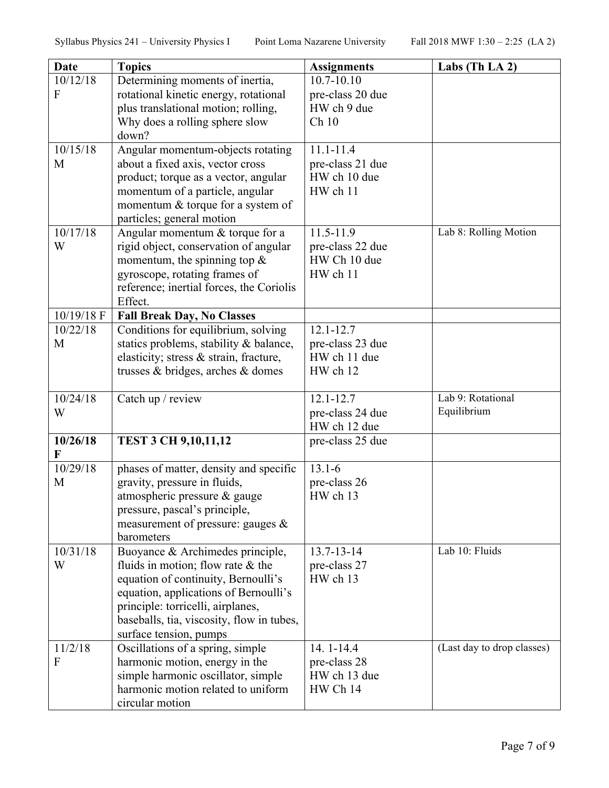| <b>Date</b> | <b>Topics</b>                                                            | <b>Assignments</b>       | Labs (Th LA $2$ )          |
|-------------|--------------------------------------------------------------------------|--------------------------|----------------------------|
| 10/12/18    | Determining moments of inertia,                                          | $10.7 - 10.10$           |                            |
| F           | rotational kinetic energy, rotational                                    | pre-class 20 due         |                            |
|             | plus translational motion; rolling,                                      | HW ch 9 due              |                            |
|             | Why does a rolling sphere slow                                           | Ch10                     |                            |
|             | down?                                                                    |                          |                            |
| 10/15/18    | Angular momentum-objects rotating                                        | $11.1 - 11.4$            |                            |
| M           | about a fixed axis, vector cross                                         | pre-class 21 due         |                            |
|             | product; torque as a vector, angular                                     | HW ch 10 due             |                            |
|             | momentum of a particle, angular                                          | HW ch 11                 |                            |
|             | momentum & torque for a system of                                        |                          |                            |
| 10/17/18    | particles; general motion<br>Angular momentum & torque for a             | 11.5-11.9                | Lab 8: Rolling Motion      |
| W           | rigid object, conservation of angular                                    | pre-class 22 due         |                            |
|             | momentum, the spinning top $\&$                                          | HW Ch 10 due             |                            |
|             | gyroscope, rotating frames of                                            | HW ch 11                 |                            |
|             | reference; inertial forces, the Coriolis                                 |                          |                            |
|             | Effect.                                                                  |                          |                            |
| 10/19/18 F  | <b>Fall Break Day, No Classes</b>                                        |                          |                            |
| 10/22/18    | Conditions for equilibrium, solving                                      | $12.1 - 12.7$            |                            |
| M           | statics problems, stability & balance,                                   | pre-class 23 due         |                            |
|             | elasticity; stress & strain, fracture,                                   | HW ch 11 due             |                            |
|             | trusses & bridges, arches & domes                                        | HW ch 12                 |                            |
| 10/24/18    | Catch up / review                                                        | $12.1 - 12.7$            | Lab 9: Rotational          |
| W           |                                                                          | pre-class 24 due         | Equilibrium                |
|             |                                                                          | HW ch 12 due             |                            |
| 10/26/18    | <b>TEST 3 CH 9,10,11,12</b>                                              | pre-class 25 due         |                            |
| 10/29/18    |                                                                          | $13.1 - 6$               |                            |
| M           | phases of matter, density and specific<br>gravity, pressure in fluids,   | pre-class 26             |                            |
|             | atmospheric pressure $\&$ gauge                                          | HW ch 13                 |                            |
|             | pressure, pascal's principle,                                            |                          |                            |
|             | measurement of pressure: gauges $\&$                                     |                          |                            |
|             | barometers                                                               |                          |                            |
| 10/31/18    | Buoyance & Archimedes principle,                                         | $13.7 - 13 - 14$         | Lab 10: Fluids             |
| W           | fluids in motion; flow rate $\&$ the                                     | pre-class 27             |                            |
|             | equation of continuity, Bernoulli's                                      | HW ch 13                 |                            |
|             | equation, applications of Bernoulli's                                    |                          |                            |
|             | principle: torricelli, airplanes,                                        |                          |                            |
|             | baseballs, tia, viscosity, flow in tubes,                                |                          |                            |
|             | surface tension, pumps                                                   |                          |                            |
| 11/2/18     | Oscillations of a spring, simple                                         | 14.1-14.4                | (Last day to drop classes) |
| F           | harmonic motion, energy in the                                           | pre-class 28             |                            |
|             | simple harmonic oscillator, simple<br>harmonic motion related to uniform | HW ch 13 due<br>HW Ch 14 |                            |
|             | circular motion                                                          |                          |                            |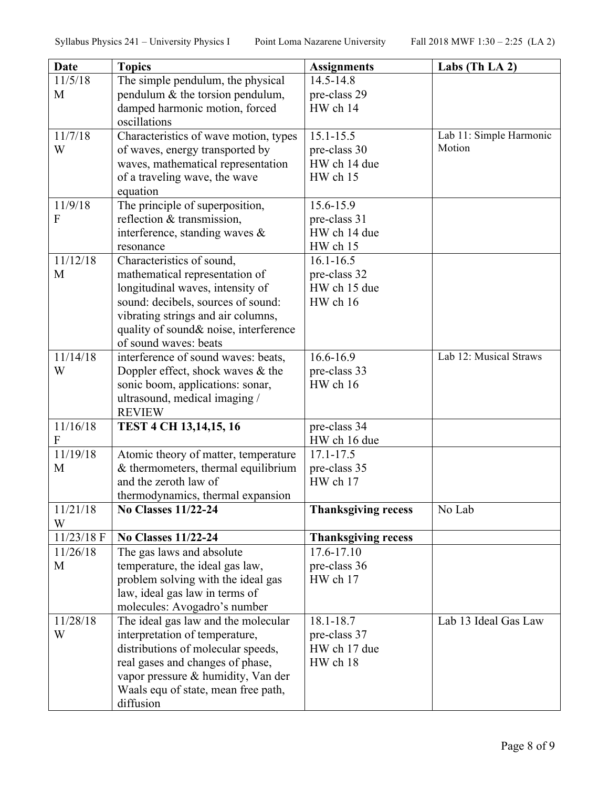| Date           | <b>Topics</b>                          | <b>Assignments</b>         | Labs (Th LA 2)          |
|----------------|----------------------------------------|----------------------------|-------------------------|
| 11/5/18        | The simple pendulum, the physical      | 14.5-14.8                  |                         |
| M              | pendulum & the torsion pendulum,       | pre-class 29               |                         |
|                | damped harmonic motion, forced         | HW ch 14                   |                         |
|                | oscillations                           |                            |                         |
| 11/7/18        | Characteristics of wave motion, types  | $15.1 - 15.5$              | Lab 11: Simple Harmonic |
| W              | of waves, energy transported by        | pre-class 30               | Motion                  |
|                | waves, mathematical representation     | HW ch 14 due               |                         |
|                | of a traveling wave, the wave          | HW ch 15                   |                         |
|                | equation                               |                            |                         |
| 11/9/18        | The principle of superposition,        | 15.6-15.9                  |                         |
| $\overline{F}$ | reflection & transmission,             | pre-class 31               |                         |
|                | interference, standing waves $\&$      | HW ch 14 due               |                         |
| 11/12/18       | resonance<br>Characteristics of sound, | HW ch 15<br>$16.1 - 16.5$  |                         |
| M              | mathematical representation of         | pre-class 32               |                         |
|                | longitudinal waves, intensity of       | HW ch 15 due               |                         |
|                | sound: decibels, sources of sound:     | HW ch 16                   |                         |
|                | vibrating strings and air columns,     |                            |                         |
|                | quality of sound& noise, interference  |                            |                         |
|                | of sound waves: beats                  |                            |                         |
| 11/14/18       | interference of sound waves: beats,    | $16.6 - 16.9$              | Lab 12: Musical Straws  |
| W              | Doppler effect, shock waves $\&$ the   | pre-class 33               |                         |
|                | sonic boom, applications: sonar,       | HW ch 16                   |                         |
|                | ultrasound, medical imaging /          |                            |                         |
|                | <b>REVIEW</b>                          |                            |                         |
| 11/16/18       | TEST 4 CH 13,14,15, 16                 | pre-class 34               |                         |
| F              |                                        | HW ch 16 due               |                         |
| 11/19/18       | Atomic theory of matter, temperature   | $17.1 - 17.5$              |                         |
| M              | $&$ thermometers, thermal equilibrium  | pre-class 35               |                         |
|                | and the zeroth law of                  | HW ch 17                   |                         |
|                | thermodynamics, thermal expansion      |                            |                         |
| 11/21/18<br>W  | <b>No Classes 11/22-24</b>             | <b>Thanksgiving recess</b> | No Lab                  |
| $11/23/18$ F   | <b>No Classes 11/22-24</b>             | <b>Thanksgiving recess</b> |                         |
| 11/26/18       | The gas laws and absolute              | 17.6-17.10                 |                         |
| M              | temperature, the ideal gas law,        | pre-class 36               |                         |
|                | problem solving with the ideal gas     | HW ch 17                   |                         |
|                | law, ideal gas law in terms of         |                            |                         |
|                | molecules: Avogadro's number           |                            |                         |
| 11/28/18       | The ideal gas law and the molecular    | 18.1-18.7                  | Lab 13 Ideal Gas Law    |
| W              | interpretation of temperature,         | pre-class 37               |                         |
|                | distributions of molecular speeds,     | HW ch 17 due               |                         |
|                | real gases and changes of phase,       | HW ch 18                   |                         |
|                | vapor pressure & humidity, Van der     |                            |                         |
|                | Waals equ of state, mean free path,    |                            |                         |
|                | diffusion                              |                            |                         |